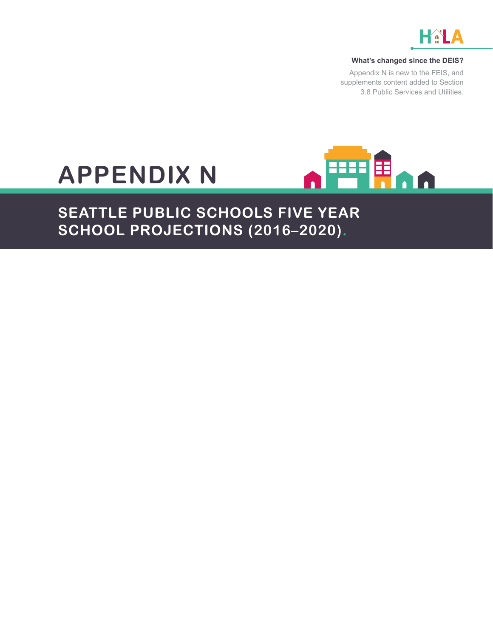

#### **What's changed since the DEIS?**

Appendix N is new to the FEIS, and supplements content added to Section 3.8 Public Services and Utilities.

# **APPENDIX N**



**SEATTLE PUBLIC SCHOOLS FIVE YEAR SCHOOL PROJECTIONS (2016–2020).**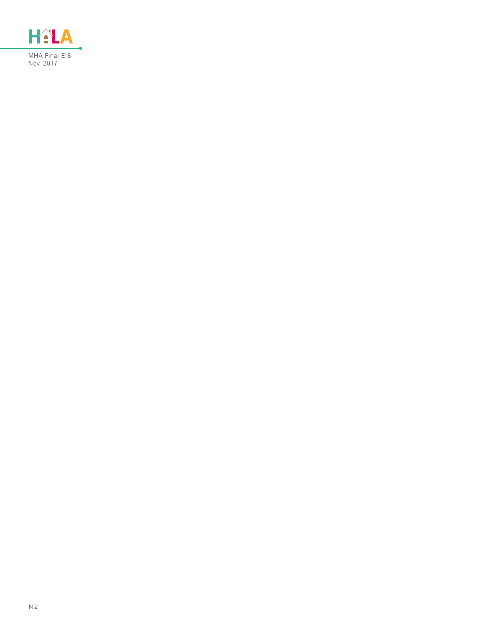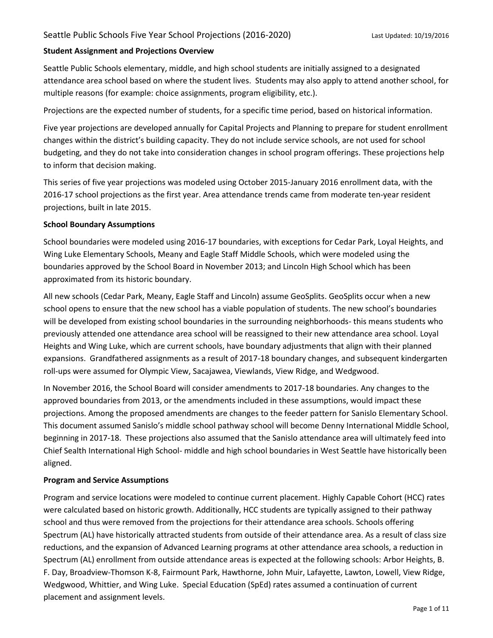#### **Student Assignment and Projections Overview**

Seattle Public Schools elementary, middle, and high school students are initially assigned to a designated attendance area school based on where the student lives. Students may also apply to attend another school, for multiple reasons (for example: choice assignments, program eligibility, etc.).

Projections are the expected number of students, for a specific time period, based on historical information.

Five year projections are developed annually for Capital Projects and Planning to prepare for student enrollment changes within the district's building capacity. They do not include service schools, are not used for school budgeting, and they do not take into consideration changes in school program offerings. These projections help to inform that decision making.

This series of five year projections was modeled using October 2015-January 2016 enrollment data, with the 2016-17 school projections as the first year. Area attendance trends came from moderate ten-year resident projections, built in late 2015.

#### **School Boundary Assumptions**

School boundaries were modeled using 2016-17 boundaries, with exceptions for Cedar Park, Loyal Heights, and Wing Luke Elementary Schools, Meany and Eagle Staff Middle Schools, which were modeled using the boundaries approved by the School Board in November 2013; and Lincoln High School which has been approximated from its historic boundary.

All new schools (Cedar Park, Meany, Eagle Staff and Lincoln) assume GeoSplits. GeoSplits occur when a new school opens to ensure that the new school has a viable population of students. The new school's boundaries will be developed from existing school boundaries in the surrounding neighborhoods- this means students who previously attended one attendance area school will be reassigned to their new attendance area school. Loyal Heights and Wing Luke, which are current schools, have boundary adjustments that align with their planned expansions. Grandfathered assignments as a result of 2017-18 boundary changes, and subsequent kindergarten roll-ups were assumed for Olympic View, Sacajawea, Viewlands, View Ridge, and Wedgwood.

In November 2016, the School Board will consider amendments to 2017-18 boundaries. Any changes to the approved boundaries from 2013, or the amendments included in these assumptions, would impact these projections. Among the proposed amendments are changes to the feeder pattern for Sanislo Elementary School. This document assumed Sanislo's middle school pathway school will become Denny International Middle School, beginning in 2017-18. These projections also assumed that the Sanislo attendance area will ultimately feed into Chief Sealth International High School- middle and high school boundaries in West Seattle have historically been aligned.

#### **Program and Service Assumptions**

Program and service locations were modeled to continue current placement. Highly Capable Cohort (HCC) rates were calculated based on historic growth. Additionally, HCC students are typically assigned to their pathway school and thus were removed from the projections for their attendance area schools. Schools offering Spectrum (AL) have historically attracted students from outside of their attendance area. As a result of class size reductions, and the expansion of Advanced Learning programs at other attendance area schools, a reduction in Spectrum (AL) enrollment from outside attendance areas is expected at the following schools: Arbor Heights, B. F. Day, Broadview-Thomson K-8, Fairmount Park, Hawthorne, John Muir, Lafayette, Lawton, Lowell, View Ridge, Wedgwood, Whittier, and Wing Luke. Special Education (SpEd) rates assumed a continuation of current placement and assignment levels.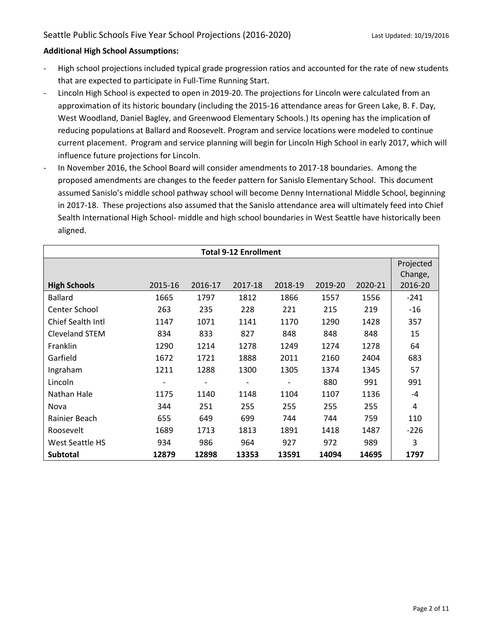#### **Additional High School Assumptions:**

- High school projections included typical grade progression ratios and accounted for the rate of new students that are expected to participate in Full-Time Running Start.
- Lincoln High School is expected to open in 2019-20. The projections for Lincoln were calculated from an approximation of its historic boundary (including the 2015-16 attendance areas for Green Lake, B. F. Day, West Woodland, Daniel Bagley, and Greenwood Elementary Schools.) Its opening has the implication of reducing populations at Ballard and Roosevelt. Program and service locations were modeled to continue current placement. Program and service planning will begin for Lincoln High School in early 2017, which will influence future projections for Lincoln.
- In November 2016, the School Board will consider amendments to 2017-18 boundaries. Among the proposed amendments are changes to the feeder pattern for Sanislo Elementary School. This document assumed Sanislo's middle school pathway school will become Denny International Middle School, beginning in 2017-18. These projections also assumed that the Sanislo attendance area will ultimately feed into Chief Sealth International High School- middle and high school boundaries in West Seattle have historically been aligned.

|                          |                          |                              | <b>Total 9-12 Enrollment</b> |                          |         |         |           |
|--------------------------|--------------------------|------------------------------|------------------------------|--------------------------|---------|---------|-----------|
|                          |                          |                              |                              |                          |         |         | Projected |
|                          |                          |                              |                              |                          |         |         | Change,   |
| <b>High Schools</b>      | 2015-16                  | 2016-17                      | 2017-18                      | 2018-19                  | 2019-20 | 2020-21 | 2016-20   |
| <b>Ballard</b>           | 1665                     | 1797                         | 1812                         | 1866                     | 1557    | 1556    | $-241$    |
| Center School            | 263                      | 235                          | 228                          | 221                      | 215     | 219     | $-16$     |
| <b>Chief Sealth Intl</b> | 1147                     | 1071                         | 1141                         | 1170                     | 1290    | 1428    | 357       |
| <b>Cleveland STEM</b>    | 834                      | 833                          | 827                          | 848                      | 848     | 848     | 15        |
| Franklin                 | 1290                     | 1214                         | 1278                         | 1249                     | 1274    | 1278    | 64        |
| Garfield                 | 1672                     | 1721                         | 1888                         | 2011                     | 2160    | 2404    | 683       |
| Ingraham                 | 1211                     | 1288                         | 1300                         | 1305                     | 1374    | 1345    | 57        |
| Lincoln                  | $\overline{\phantom{a}}$ | $\qquad \qquad \blacksquare$ | $\overline{\phantom{a}}$     | $\overline{\phantom{a}}$ | 880     | 991     | 991       |
| Nathan Hale              | 1175                     | 1140                         | 1148                         | 1104                     | 1107    | 1136    | -4        |
| Nova                     | 344                      | 251                          | 255                          | 255                      | 255     | 255     | 4         |
| Rainier Beach            | 655                      | 649                          | 699                          | 744                      | 744     | 759     | 110       |
| Roosevelt                | 1689                     | 1713                         | 1813                         | 1891                     | 1418    | 1487    | $-226$    |
| West Seattle HS          | 934                      | 986                          | 964                          | 927                      | 972     | 989     | 3         |
| <b>Subtotal</b>          | 12879                    | 12898                        | 13353                        | 13591                    | 14094   | 14695   | 1797      |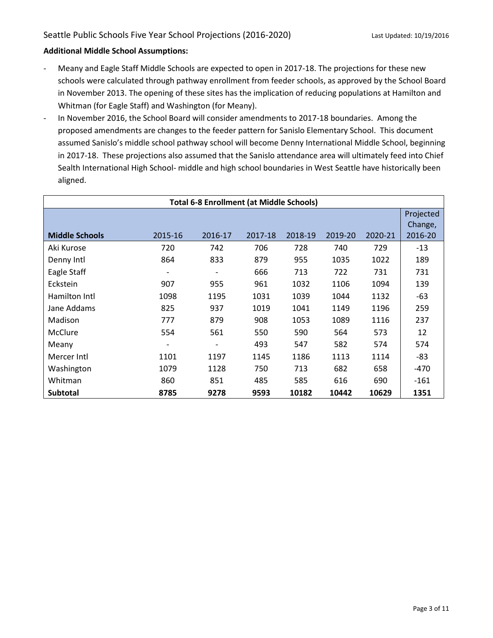#### **Additional Middle School Assumptions:**

- Meany and Eagle Staff Middle Schools are expected to open in 2017-18. The projections for these new schools were calculated through pathway enrollment from feeder schools, as approved by the School Board in November 2013. The opening of these sites has the implication of reducing populations at Hamilton and Whitman (for Eagle Staff) and Washington (for Meany).
- In November 2016, the School Board will consider amendments to 2017-18 boundaries. Among the proposed amendments are changes to the feeder pattern for Sanislo Elementary School. This document assumed Sanislo's middle school pathway school will become Denny International Middle School, beginning in 2017-18. These projections also assumed that the Sanislo attendance area will ultimately feed into Chief Sealth International High School- middle and high school boundaries in West Seattle have historically been aligned.

|                       | <b>Total 6-8 Enrollment (at Middle Schools)</b> |                          |         |         |         |         |           |  |  |  |
|-----------------------|-------------------------------------------------|--------------------------|---------|---------|---------|---------|-----------|--|--|--|
|                       |                                                 |                          |         |         |         |         | Projected |  |  |  |
|                       |                                                 |                          |         |         |         |         | Change,   |  |  |  |
| <b>Middle Schools</b> | 2015-16                                         | 2016-17                  | 2017-18 | 2018-19 | 2019-20 | 2020-21 | 2016-20   |  |  |  |
| Aki Kurose            | 720                                             | 742                      | 706     | 728     | 740     | 729     | $-13$     |  |  |  |
| Denny Intl            | 864                                             | 833                      | 879     | 955     | 1035    | 1022    | 189       |  |  |  |
| Eagle Staff           |                                                 | $\overline{\phantom{a}}$ | 666     | 713     | 722     | 731     | 731       |  |  |  |
| Eckstein              | 907                                             | 955                      | 961     | 1032    | 1106    | 1094    | 139       |  |  |  |
| Hamilton Intl         | 1098                                            | 1195                     | 1031    | 1039    | 1044    | 1132    | -63       |  |  |  |
| Jane Addams           | 825                                             | 937                      | 1019    | 1041    | 1149    | 1196    | 259       |  |  |  |
| Madison               | 777                                             | 879                      | 908     | 1053    | 1089    | 1116    | 237       |  |  |  |
| <b>McClure</b>        | 554                                             | 561                      | 550     | 590     | 564     | 573     | 12        |  |  |  |
| Meany                 | $\overline{\phantom{0}}$                        | $\overline{\phantom{a}}$ | 493     | 547     | 582     | 574     | 574       |  |  |  |
| Mercer Intl           | 1101                                            | 1197                     | 1145    | 1186    | 1113    | 1114    | $-83$     |  |  |  |
| Washington            | 1079                                            | 1128                     | 750     | 713     | 682     | 658     | $-470$    |  |  |  |
| Whitman               | 860                                             | 851                      | 485     | 585     | 616     | 690     | $-161$    |  |  |  |
| <b>Subtotal</b>       | 8785                                            | 9278                     | 9593    | 10182   | 10442   | 10629   | 1351      |  |  |  |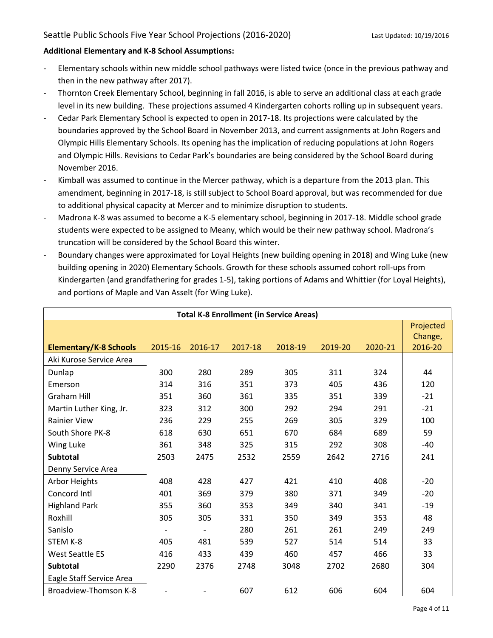#### **Additional Elementary and K-8 School Assumptions:**

- Elementary schools within new middle school pathways were listed twice (once in the previous pathway and then in the new pathway after 2017).
- Thornton Creek Elementary School, beginning in fall 2016, is able to serve an additional class at each grade level in its new building. These projections assumed 4 Kindergarten cohorts rolling up in subsequent years.
- Cedar Park Elementary School is expected to open in 2017-18. Its projections were calculated by the boundaries approved by the School Board in November 2013, and current assignments at John Rogers and Olympic Hills Elementary Schools. Its opening has the implication of reducing populations at John Rogers and Olympic Hills. Revisions to Cedar Park's boundaries are being considered by the School Board during November 2016.
- Kimball was assumed to continue in the Mercer pathway, which is a departure from the 2013 plan. This amendment, beginning in 2017-18, is still subject to School Board approval, but was recommended for due to additional physical capacity at Mercer and to minimize disruption to students.
- Madrona K-8 was assumed to become a K-5 elementary school, beginning in 2017-18. Middle school grade students were expected to be assigned to Meany, which would be their new pathway school. Madrona's truncation will be considered by the School Board this winter.
- Boundary changes were approximated for Loyal Heights (new building opening in 2018) and Wing Luke (new building opening in 2020) Elementary Schools. Growth for these schools assumed cohort roll-ups from Kindergarten (and grandfathering for grades 1-5), taking portions of Adams and Whittier (for Loyal Heights), and portions of Maple and Van Asselt (for Wing Luke).

| <b>Total K-8 Enrollment (in Service Areas)</b> |         |         |         |         |         |         |                      |  |  |  |
|------------------------------------------------|---------|---------|---------|---------|---------|---------|----------------------|--|--|--|
|                                                |         |         |         |         |         |         | Projected<br>Change, |  |  |  |
| <b>Elementary/K-8 Schools</b>                  | 2015-16 | 2016-17 | 2017-18 | 2018-19 | 2019-20 | 2020-21 | 2016-20              |  |  |  |
| Aki Kurose Service Area                        |         |         |         |         |         |         |                      |  |  |  |
| Dunlap                                         | 300     | 280     | 289     | 305     | 311     | 324     | 44                   |  |  |  |
| Emerson                                        | 314     | 316     | 351     | 373     | 405     | 436     | 120                  |  |  |  |
| <b>Graham Hill</b>                             | 351     | 360     | 361     | 335     | 351     | 339     | $-21$                |  |  |  |
| Martin Luther King, Jr.                        | 323     | 312     | 300     | 292     | 294     | 291     | $-21$                |  |  |  |
| <b>Rainier View</b>                            | 236     | 229     | 255     | 269     | 305     | 329     | 100                  |  |  |  |
| South Shore PK-8                               | 618     | 630     | 651     | 670     | 684     | 689     | 59                   |  |  |  |
| Wing Luke                                      | 361     | 348     | 325     | 315     | 292     | 308     | -40                  |  |  |  |
| <b>Subtotal</b>                                | 2503    | 2475    | 2532    | 2559    | 2642    | 2716    | 241                  |  |  |  |
| Denny Service Area                             |         |         |         |         |         |         |                      |  |  |  |
| <b>Arbor Heights</b>                           | 408     | 428     | 427     | 421     | 410     | 408     | $-20$                |  |  |  |
| Concord Intl                                   | 401     | 369     | 379     | 380     | 371     | 349     | $-20$                |  |  |  |
| <b>Highland Park</b>                           | 355     | 360     | 353     | 349     | 340     | 341     | $-19$                |  |  |  |
| Roxhill                                        | 305     | 305     | 331     | 350     | 349     | 353     | 48                   |  |  |  |
| Sanislo                                        |         |         | 280     | 261     | 261     | 249     | 249                  |  |  |  |
| STEM K-8                                       | 405     | 481     | 539     | 527     | 514     | 514     | 33                   |  |  |  |
| <b>West Seattle ES</b>                         | 416     | 433     | 439     | 460     | 457     | 466     | 33                   |  |  |  |
| <b>Subtotal</b>                                | 2290    | 2376    | 2748    | 3048    | 2702    | 2680    | 304                  |  |  |  |
| Eagle Staff Service Area                       |         |         |         |         |         |         |                      |  |  |  |
| Broadview-Thomson K-8                          |         |         | 607     | 612     | 606     | 604     | 604                  |  |  |  |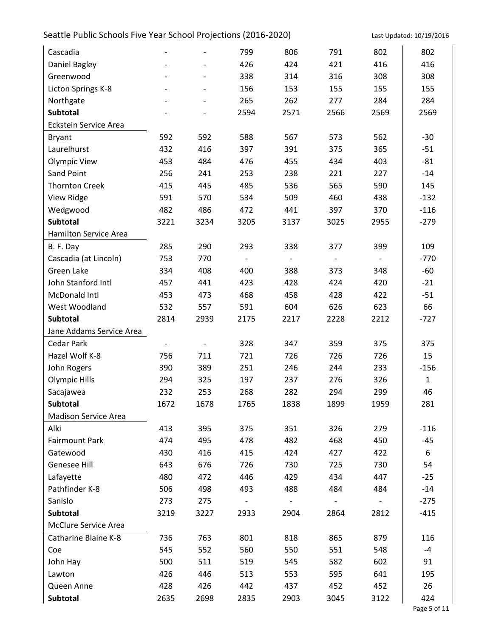| Seattle Public Schools Five Year School Projections (2016-2020) |                              |                          |                          |                          |                          |                          | Last Updated: 10/19/2016 |
|-----------------------------------------------------------------|------------------------------|--------------------------|--------------------------|--------------------------|--------------------------|--------------------------|--------------------------|
| Cascadia                                                        |                              |                          | 799                      | 806                      | 791                      | 802                      | 802                      |
| Daniel Bagley                                                   |                              |                          | 426                      | 424                      | 421                      | 416                      | 416                      |
| Greenwood                                                       |                              |                          | 338                      | 314                      | 316                      | 308                      | 308                      |
| Licton Springs K-8                                              |                              |                          | 156                      | 153                      | 155                      | 155                      | 155                      |
| Northgate                                                       |                              |                          | 265                      | 262                      | 277                      | 284                      | 284                      |
| <b>Subtotal</b>                                                 |                              |                          | 2594                     | 2571                     | 2566                     | 2569                     | 2569                     |
| Eckstein Service Area                                           |                              |                          |                          |                          |                          |                          |                          |
| <b>Bryant</b>                                                   | 592                          | 592                      | 588                      | 567                      | 573                      | 562                      | $-30$                    |
| Laurelhurst                                                     | 432                          | 416                      | 397                      | 391                      | 375                      | 365                      | $-51$                    |
| <b>Olympic View</b>                                             | 453                          | 484                      | 476                      | 455                      | 434                      | 403                      | $-81$                    |
| Sand Point                                                      | 256                          | 241                      | 253                      | 238                      | 221                      | 227                      | $-14$                    |
| <b>Thornton Creek</b>                                           | 415                          | 445                      | 485                      | 536                      | 565                      | 590                      | 145                      |
| View Ridge                                                      | 591                          | 570                      | 534                      | 509                      | 460                      | 438                      | $-132$                   |
| Wedgwood                                                        | 482                          | 486                      | 472                      | 441                      | 397                      | 370                      | $-116$                   |
| <b>Subtotal</b>                                                 | 3221                         | 3234                     | 3205                     | 3137                     | 3025                     | 2955                     | $-279$                   |
| Hamilton Service Area                                           |                              |                          |                          |                          |                          |                          |                          |
| B. F. Day                                                       | 285                          | 290                      | 293                      | 338                      | 377                      | 399                      | 109                      |
| Cascadia (at Lincoln)                                           | 753                          | 770                      | $\overline{\phantom{a}}$ | $\overline{\phantom{a}}$ | $\overline{\phantom{a}}$ | $\overline{\phantom{a}}$ | $-770$                   |
| Green Lake                                                      | 334                          | 408                      | 400                      | 388                      | 373                      | 348                      | $-60$                    |
| John Stanford Intl                                              | 457                          | 441                      | 423                      | 428                      | 424                      | 420                      | $-21$                    |
| McDonald Intl                                                   | 453                          | 473                      | 468                      | 458                      | 428                      | 422                      | $-51$                    |
| West Woodland                                                   | 532                          | 557                      | 591                      | 604                      | 626                      | 623                      | 66                       |
| <b>Subtotal</b>                                                 | 2814                         | 2939                     | 2175                     | 2217                     | 2228                     | 2212                     | $-727$                   |
| Jane Addams Service Area                                        |                              |                          |                          |                          |                          |                          |                          |
| <b>Cedar Park</b>                                               | $\qquad \qquad \blacksquare$ | $\overline{\phantom{a}}$ | 328                      | 347                      | 359                      | 375                      | 375                      |
| Hazel Wolf K-8                                                  | 756                          | 711                      | 721                      | 726                      | 726                      | 726                      | 15                       |
| John Rogers                                                     | 390                          | 389                      | 251                      | 246                      | 244                      | 233                      | $-156$                   |
| <b>Olympic Hills</b>                                            | 294                          | 325                      | 197                      | 237                      | 276                      | 326                      | $\mathbf 1$              |
| Sacajawea                                                       | 232                          | 253                      | 268                      | 282                      | 294                      | 299                      | 46                       |
| Subtotal                                                        | 1672                         | 1678                     | 1765                     | 1838                     | 1899                     | 1959                     | 281                      |
| <b>Madison Service Area</b>                                     |                              |                          |                          |                          |                          |                          |                          |
| Alki                                                            | 413                          | 395                      | 375                      | 351                      | 326                      | 279                      | $-116$                   |
| <b>Fairmount Park</b>                                           | 474                          | 495                      | 478                      | 482                      | 468                      | 450                      | $-45$                    |
| Gatewood                                                        | 430                          | 416                      | 415                      | 424                      | 427                      | 422                      | 6                        |
| Genesee Hill                                                    | 643                          | 676                      | 726                      | 730                      | 725                      | 730                      | 54                       |
| Lafayette                                                       | 480                          | 472                      | 446                      | 429                      | 434                      | 447                      | $-25$                    |
| Pathfinder K-8                                                  | 506                          | 498                      | 493                      | 488                      | 484                      | 484                      | $-14$                    |
| Sanislo                                                         | 273                          | 275                      | $\overline{\phantom{a}}$ | $\overline{\phantom{a}}$ | $\overline{a}$           | $\overline{\phantom{a}}$ | $-275$                   |
| Subtotal                                                        | 3219                         | 3227                     | 2933                     | 2904                     | 2864                     | 2812                     | $-415$                   |
| McClure Service Area                                            |                              |                          |                          |                          |                          |                          |                          |
| Catharine Blaine K-8                                            | 736                          | 763                      | 801                      | 818                      | 865                      | 879                      | 116                      |
| Coe                                                             | 545                          | 552                      | 560                      | 550                      | 551                      | 548                      | $-4$                     |
| John Hay                                                        | 500<br>426                   | 511<br>446               | 519<br>513               | 545                      | 582<br>595               | 602<br>641               | 91<br>195                |
| Lawton<br>Queen Anne                                            | 428                          | 426                      | 442                      | 553<br>437               | 452                      | 452                      | 26                       |
| Subtotal                                                        | 2635                         | 2698                     | 2835                     | 2903                     | 3045                     | 3122                     | 424                      |
|                                                                 |                              |                          |                          |                          |                          |                          |                          |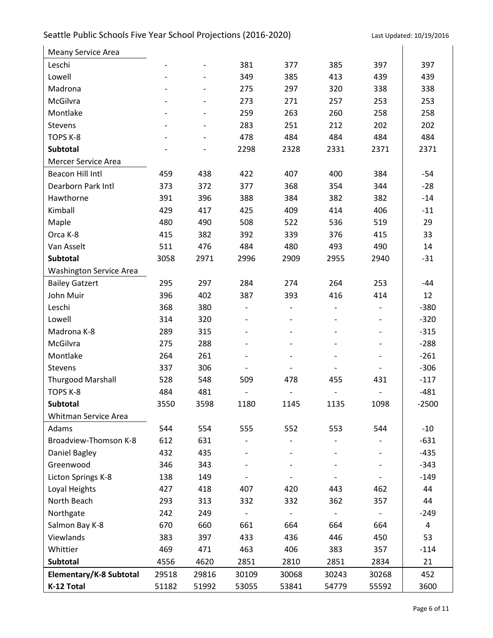| <b>Meany Service Area</b> |       |       |                          |       |       |                          |         |
|---------------------------|-------|-------|--------------------------|-------|-------|--------------------------|---------|
| Leschi                    |       |       | 381                      | 377   | 385   | 397                      | 397     |
| Lowell                    |       |       | 349                      | 385   | 413   | 439                      | 439     |
| Madrona                   |       |       | 275                      | 297   | 320   | 338                      | 338     |
| McGilvra                  |       |       | 273                      | 271   | 257   | 253                      | 253     |
| Montlake                  |       |       | 259                      | 263   | 260   | 258                      | 258     |
| Stevens                   |       |       | 283                      | 251   | 212   | 202                      | 202     |
| TOPS K-8                  |       |       | 478                      | 484   | 484   | 484                      | 484     |
| <b>Subtotal</b>           |       |       | 2298                     | 2328  | 2331  | 2371                     | 2371    |
| Mercer Service Area       |       |       |                          |       |       |                          |         |
| Beacon Hill Intl          | 459   | 438   | 422                      | 407   | 400   | 384                      | $-54$   |
| Dearborn Park Intl        | 373   | 372   | 377                      | 368   | 354   | 344                      | $-28$   |
| Hawthorne                 | 391   | 396   | 388                      | 384   | 382   | 382                      | $-14$   |
| Kimball                   | 429   | 417   | 425                      | 409   | 414   | 406                      | $-11$   |
| Maple                     | 480   | 490   | 508                      | 522   | 536   | 519                      | 29      |
| Orca K-8                  | 415   | 382   | 392                      | 339   | 376   | 415                      | 33      |
| Van Asselt                | 511   | 476   | 484                      | 480   | 493   | 490                      | 14      |
| Subtotal                  | 3058  | 2971  | 2996                     | 2909  | 2955  | 2940                     | $-31$   |
| Washington Service Area   |       |       |                          |       |       |                          |         |
| <b>Bailey Gatzert</b>     | 295   | 297   | 284                      | 274   | 264   | 253                      | $-44$   |
| John Muir                 | 396   | 402   | 387                      | 393   | 416   | 414                      | 12      |
| Leschi                    | 368   | 380   | $\overline{\phantom{0}}$ |       |       |                          | $-380$  |
| Lowell                    | 314   | 320   | $\overline{\phantom{m}}$ |       |       |                          | $-320$  |
| Madrona K-8               | 289   | 315   |                          |       |       | $\overline{\phantom{a}}$ | $-315$  |
| McGilvra                  | 275   | 288   | $\qquad \qquad -$        |       |       | $\overline{\phantom{a}}$ | $-288$  |
| Montlake                  | 264   | 261   |                          |       |       |                          | $-261$  |
| Stevens                   | 337   | 306   |                          |       |       |                          | $-306$  |
| <b>Thurgood Marshall</b>  | 528   | 548   | 509                      | 478   | 455   | 431                      | $-117$  |
| TOPS K-8                  | 484   | 481   |                          |       |       |                          | $-481$  |
| <b>Subtotal</b>           | 3550  | 3598  | 1180                     | 1145  | 1135  | 1098                     | $-2500$ |
| Whitman Service Area      |       |       |                          |       |       |                          |         |
| Adams                     | 544   | 554   | 555                      | 552   | 553   | 544                      | $-10$   |
| Broadview-Thomson K-8     | 612   | 631   |                          |       |       |                          | $-631$  |
| Daniel Bagley             | 432   | 435   |                          |       |       |                          | $-435$  |
| Greenwood                 | 346   | 343   |                          |       |       |                          | $-343$  |
| Licton Springs K-8        | 138   | 149   |                          |       |       |                          | $-149$  |
| Loyal Heights             | 427   | 418   | 407                      | 420   | 443   | 462                      | 44      |
| North Beach               | 293   | 313   | 332                      | 332   | 362   | 357                      | 44      |
| Northgate                 | 242   | 249   | $\overline{a}$           |       |       |                          | $-249$  |
| Salmon Bay K-8            | 670   | 660   | 661                      | 664   | 664   | 664                      | 4       |
| Viewlands                 | 383   | 397   | 433                      | 436   | 446   | 450                      | 53      |
| Whittier                  | 469   | 471   | 463                      | 406   | 383   | 357                      | $-114$  |
| Subtotal                  | 4556  | 4620  | 2851                     | 2810  | 2851  | 2834                     | 21      |
| Elementary/K-8 Subtotal   | 29518 | 29816 | 30109                    | 30068 | 30243 | 30268                    | 452     |
| K-12 Total                | 51182 | 51992 | 53055                    | 53841 | 54779 | 55592                    | 3600    |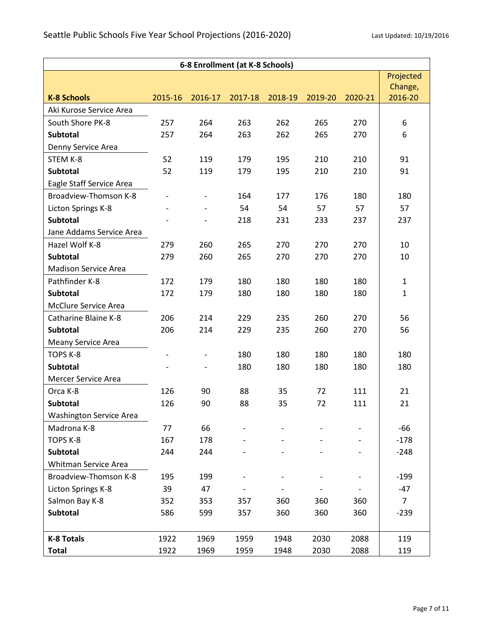| 6-8 Enrollment (at K-8 Schools) |         |                          |         |         |         |         |                |  |
|---------------------------------|---------|--------------------------|---------|---------|---------|---------|----------------|--|
|                                 |         |                          |         |         |         |         | Projected      |  |
|                                 |         |                          |         |         |         |         | Change,        |  |
| <b>K-8 Schools</b>              | 2015-16 | 2016-17                  | 2017-18 | 2018-19 | 2019-20 | 2020-21 | 2016-20        |  |
| Aki Kurose Service Area         |         |                          |         |         |         |         |                |  |
| South Shore PK-8                | 257     | 264                      | 263     | 262     | 265     | 270     | 6              |  |
| <b>Subtotal</b>                 | 257     | 264                      | 263     | 262     | 265     | 270     | 6              |  |
| Denny Service Area              |         |                          |         |         |         |         |                |  |
| STEM K-8                        | 52      | 119                      | 179     | 195     | 210     | 210     | 91             |  |
| Subtotal                        | 52      | 119                      | 179     | 195     | 210     | 210     | 91             |  |
| Eagle Staff Service Area        |         |                          |         |         |         |         |                |  |
| Broadview-Thomson K-8           |         | $\overline{\phantom{a}}$ | 164     | 177     | 176     | 180     | 180            |  |
| Licton Springs K-8              |         |                          | 54      | 54      | 57      | 57      | 57             |  |
| <b>Subtotal</b>                 |         |                          | 218     | 231     | 233     | 237     | 237            |  |
| Jane Addams Service Area        |         |                          |         |         |         |         |                |  |
| Hazel Wolf K-8                  | 279     | 260                      | 265     | 270     | 270     | 270     | 10             |  |
| Subtotal                        | 279     | 260                      | 265     | 270     | 270     | 270     | 10             |  |
| <b>Madison Service Area</b>     |         |                          |         |         |         |         |                |  |
| Pathfinder K-8                  | 172     | 179                      | 180     | 180     | 180     | 180     | 1              |  |
| Subtotal                        | 172     | 179                      | 180     | 180     | 180     | 180     | 1              |  |
| <b>McClure Service Area</b>     |         |                          |         |         |         |         |                |  |
| Catharine Blaine K-8            | 206     | 214                      | 229     | 235     | 260     | 270     | 56             |  |
| Subtotal                        | 206     | 214                      | 229     | 235     | 260     | 270     | 56             |  |
| Meany Service Area              |         |                          |         |         |         |         |                |  |
| TOPS K-8                        |         | $\overline{\phantom{a}}$ | 180     | 180     | 180     | 180     | 180            |  |
| <b>Subtotal</b>                 |         |                          | 180     | 180     | 180     | 180     | 180            |  |
| <b>Mercer Service Area</b>      |         |                          |         |         |         |         |                |  |
| Orca K-8                        | 126     | 90                       | 88      | 35      | 72      | 111     | 21             |  |
| Subtotal                        | 126     | 90                       | 88      | 35      | 72      | 111     | 21             |  |
| Washington Service Area         |         |                          |         |         |         |         |                |  |
| Madrona K-8                     | 77      | 66                       |         |         |         |         | $-66$          |  |
| TOPS K-8                        | 167     | 178                      |         |         |         |         | $-178$         |  |
| Subtotal                        | 244     | 244                      |         |         |         |         | $-248$         |  |
| <b>Whitman Service Area</b>     |         |                          |         |         |         |         |                |  |
| Broadview-Thomson K-8           | 195     | 199                      |         |         |         |         | $-199$         |  |
| Licton Springs K-8              | 39      | 47                       |         |         |         |         | $-47$          |  |
| Salmon Bay K-8                  | 352     | 353                      | 357     | 360     | 360     | 360     | $\overline{7}$ |  |
| Subtotal                        | 586     | 599                      | 357     | 360     | 360     | 360     | $-239$         |  |
|                                 |         |                          |         |         |         |         |                |  |
| <b>K-8 Totals</b>               | 1922    | 1969                     | 1959    | 1948    | 2030    | 2088    | 119            |  |
| <b>Total</b>                    | 1922    | 1969                     | 1959    | 1948    | 2030    | 2088    | 119            |  |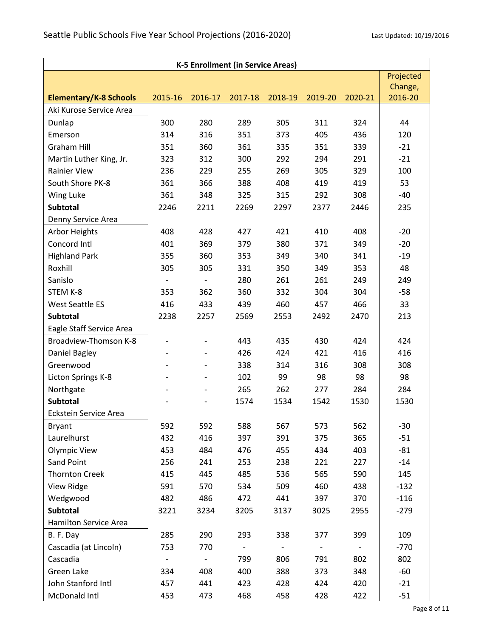|                               | K-5 Enrollment (in Service Areas) |                          |         |         |         |                          |           |  |  |
|-------------------------------|-----------------------------------|--------------------------|---------|---------|---------|--------------------------|-----------|--|--|
|                               |                                   |                          |         |         |         |                          | Projected |  |  |
|                               |                                   |                          |         |         |         |                          | Change,   |  |  |
| <b>Elementary/K-8 Schools</b> | 2015-16                           | 2016-17                  | 2017-18 | 2018-19 | 2019-20 | 2020-21                  | 2016-20   |  |  |
| Aki Kurose Service Area       |                                   |                          |         |         |         |                          |           |  |  |
| Dunlap                        | 300                               | 280                      | 289     | 305     | 311     | 324                      | 44        |  |  |
| Emerson                       | 314                               | 316                      | 351     | 373     | 405     | 436                      | 120       |  |  |
| <b>Graham Hill</b>            | 351                               | 360                      | 361     | 335     | 351     | 339                      | $-21$     |  |  |
| Martin Luther King, Jr.       | 323                               | 312                      | 300     | 292     | 294     | 291                      | $-21$     |  |  |
| <b>Rainier View</b>           | 236                               | 229                      | 255     | 269     | 305     | 329                      | 100       |  |  |
| South Shore PK-8              | 361                               | 366                      | 388     | 408     | 419     | 419                      | 53        |  |  |
| Wing Luke                     | 361                               | 348                      | 325     | 315     | 292     | 308                      | $-40$     |  |  |
| <b>Subtotal</b>               | 2246                              | 2211                     | 2269    | 2297    | 2377    | 2446                     | 235       |  |  |
| Denny Service Area            |                                   |                          |         |         |         |                          |           |  |  |
| <b>Arbor Heights</b>          | 408                               | 428                      | 427     | 421     | 410     | 408                      | $-20$     |  |  |
| Concord Intl                  | 401                               | 369                      | 379     | 380     | 371     | 349                      | $-20$     |  |  |
| <b>Highland Park</b>          | 355                               | 360                      | 353     | 349     | 340     | 341                      | $-19$     |  |  |
| Roxhill                       | 305                               | 305                      | 331     | 350     | 349     | 353                      | 48        |  |  |
| Sanislo                       |                                   |                          | 280     | 261     | 261     | 249                      | 249       |  |  |
| STEM K-8                      | 353                               | 362                      | 360     | 332     | 304     | 304                      | $-58$     |  |  |
| West Seattle ES               | 416                               | 433                      | 439     | 460     | 457     | 466                      | 33        |  |  |
| Subtotal                      | 2238                              | 2257                     | 2569    | 2553    | 2492    | 2470                     | 213       |  |  |
| Eagle Staff Service Area      |                                   |                          |         |         |         |                          |           |  |  |
| Broadview-Thomson K-8         |                                   |                          | 443     | 435     | 430     | 424                      | 424       |  |  |
| Daniel Bagley                 |                                   |                          | 426     | 424     | 421     | 416                      | 416       |  |  |
| Greenwood                     |                                   |                          | 338     | 314     | 316     | 308                      | 308       |  |  |
| Licton Springs K-8            |                                   | $\overline{\phantom{a}}$ | 102     | 99      | 98      | 98                       | 98        |  |  |
| Northgate                     |                                   |                          | 265     | 262     | 277     | 284                      | 284       |  |  |
| <b>Subtotal</b>               |                                   |                          | 1574    | 1534    | 1542    | 1530                     | 1530      |  |  |
| Eckstein Service Area         |                                   |                          |         |         |         |                          |           |  |  |
| <b>Bryant</b>                 | 592                               | 592                      | 588     | 567     | 573     | 562                      | $-30$     |  |  |
| Laurelhurst                   | 432                               | 416                      | 397     | 391     | 375     | 365                      | $-51$     |  |  |
| <b>Olympic View</b>           | 453                               | 484                      | 476     | 455     | 434     | 403                      | $-81$     |  |  |
| Sand Point                    | 256                               | 241                      | 253     | 238     | 221     | 227                      | $-14$     |  |  |
| <b>Thornton Creek</b>         | 415                               | 445                      | 485     | 536     | 565     | 590                      | 145       |  |  |
| View Ridge                    | 591                               | 570                      | 534     | 509     | 460     | 438                      | $-132$    |  |  |
| Wedgwood                      | 482                               | 486                      | 472     | 441     | 397     | 370                      | $-116$    |  |  |
| <b>Subtotal</b>               | 3221                              | 3234                     | 3205    | 3137    | 3025    | 2955                     | $-279$    |  |  |
| Hamilton Service Area         |                                   |                          |         |         |         |                          |           |  |  |
| B. F. Day                     | 285                               | 290                      | 293     | 338     | 377     | 399                      | 109       |  |  |
| Cascadia (at Lincoln)         | 753                               | 770                      |         |         |         | $\overline{\phantom{a}}$ | $-770$    |  |  |
| Cascadia                      | $\overline{\phantom{a}}$          |                          | 799     | 806     | 791     | 802                      | 802       |  |  |
| Green Lake                    | 334                               | 408                      | 400     | 388     | 373     | 348                      | $-60$     |  |  |
| John Stanford Intl            | 457                               | 441                      | 423     | 428     | 424     | 420                      | $-21$     |  |  |
| McDonald Intl                 | 453                               | 473                      | 468     | 458     | 428     | 422                      | $-51$     |  |  |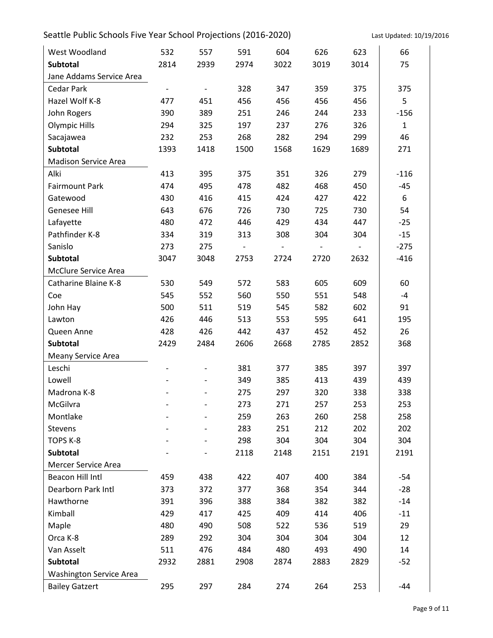| Seattle Public Schools Five Year School Projections (2016-2020) |                              |      |                          |                          |                          |                          | Last Updated: 10/19/20 |  |
|-----------------------------------------------------------------|------------------------------|------|--------------------------|--------------------------|--------------------------|--------------------------|------------------------|--|
| West Woodland                                                   | 532                          | 557  | 591                      | 604                      | 626                      | 623                      | 66                     |  |
| <b>Subtotal</b>                                                 | 2814                         | 2939 | 2974                     | 3022                     | 3019                     | 3014                     | 75                     |  |
| Jane Addams Service Area                                        |                              |      |                          |                          |                          |                          |                        |  |
| Cedar Park                                                      | $\qquad \qquad \blacksquare$ |      | 328                      | 347                      | 359                      | 375                      | 375                    |  |
| Hazel Wolf K-8                                                  | 477                          | 451  | 456                      | 456                      | 456                      | 456                      | 5                      |  |
| John Rogers                                                     | 390                          | 389  | 251                      | 246                      | 244                      | 233                      | $-156$                 |  |
| <b>Olympic Hills</b>                                            | 294                          | 325  | 197                      | 237                      | 276                      | 326                      | $\mathbf 1$            |  |
| Sacajawea                                                       | 232                          | 253  | 268                      | 282                      | 294                      | 299                      | 46                     |  |
| Subtotal                                                        | 1393                         | 1418 | 1500                     | 1568                     | 1629                     | 1689                     | 271                    |  |
| <b>Madison Service Area</b>                                     |                              |      |                          |                          |                          |                          |                        |  |
| Alki                                                            | 413                          | 395  | 375                      | 351                      | 326                      | 279                      | $-116$                 |  |
| <b>Fairmount Park</b>                                           | 474                          | 495  | 478                      | 482                      | 468                      | 450                      | $-45$                  |  |
| Gatewood                                                        | 430                          | 416  | 415                      | 424                      | 427                      | 422                      | 6                      |  |
| Genesee Hill                                                    | 643                          | 676  | 726                      | 730                      | 725                      | 730                      | 54                     |  |
| Lafayette                                                       | 480                          | 472  | 446                      | 429                      | 434                      | 447                      | $-25$                  |  |
| Pathfinder K-8                                                  | 334                          | 319  | 313                      | 308                      | 304                      | 304                      | $-15$                  |  |
| Sanislo                                                         | 273                          | 275  | $\overline{\phantom{a}}$ | $\overline{\phantom{a}}$ | $\overline{\phantom{a}}$ | $\overline{\phantom{a}}$ | $-275$                 |  |
| <b>Subtotal</b>                                                 | 3047                         | 3048 | 2753                     | 2724                     | 2720                     | 2632                     | $-416$                 |  |
| McClure Service Area                                            |                              |      |                          |                          |                          |                          |                        |  |
| Catharine Blaine K-8                                            | 530                          | 549  | 572                      | 583                      | 605                      | 609                      | 60                     |  |
| Coe                                                             | 545                          | 552  | 560                      | 550                      | 551                      | 548                      | $-4$                   |  |
| John Hay                                                        | 500                          | 511  | 519                      | 545                      | 582                      | 602                      | 91                     |  |
| Lawton                                                          | 426                          | 446  | 513                      | 553                      | 595                      | 641                      | 195                    |  |
| Queen Anne                                                      | 428                          | 426  | 442                      | 437                      | 452                      | 452                      | 26                     |  |
| Subtotal                                                        | 2429                         | 2484 | 2606                     | 2668                     | 2785                     | 2852                     | 368                    |  |
| <b>Meany Service Area</b>                                       |                              |      |                          |                          |                          |                          |                        |  |
| Leschi                                                          |                              |      | 381                      | 377                      | 385                      | 397                      | 397                    |  |
| Lowell                                                          |                              |      | 349                      | 385                      | 413                      | 439                      | 439                    |  |
| Madrona K-8                                                     |                              |      | 275                      | 297                      | 320                      | 338                      | 338                    |  |
| McGilvra                                                        |                              |      | 273                      | 271                      | 257                      | 253                      | 253                    |  |
| Montlake                                                        |                              |      | 259                      | 263                      | 260                      | 258                      | 258                    |  |
| Stevens                                                         |                              |      | 283                      | 251                      | 212                      | 202                      | 202                    |  |
| TOPS K-8                                                        |                              |      | 298                      | 304                      | 304                      | 304                      | 304                    |  |
| Subtotal                                                        |                              |      | 2118                     | 2148                     | 2151                     | 2191                     | 2191                   |  |
| Mercer Service Area                                             |                              |      |                          |                          |                          |                          |                        |  |
| Beacon Hill Intl                                                | 459                          | 438  | 422                      | 407                      | 400                      | 384                      | $-54$                  |  |
| Dearborn Park Intl                                              | 373                          | 372  | 377                      | 368                      | 354                      | 344                      | $-28$                  |  |
| Hawthorne                                                       | 391                          | 396  | 388                      | 384                      | 382                      | 382                      | $-14$                  |  |
| Kimball                                                         | 429                          | 417  | 425                      | 409                      | 414                      | 406                      | $-11$                  |  |
| Maple                                                           | 480                          | 490  | 508                      | 522                      | 536                      | 519                      | 29                     |  |
| Orca K-8                                                        | 289                          | 292  | 304                      | 304                      | 304                      | 304                      | 12                     |  |
| Van Asselt                                                      | 511                          | 476  | 484                      | 480                      | 493                      | 490                      | 14                     |  |
| Subtotal                                                        | 2932                         | 2881 | 2908                     | 2874                     | 2883                     | 2829                     | $-52$                  |  |
| Washington Service Area                                         |                              |      |                          |                          |                          |                          |                        |  |
| <b>Bailey Gatzert</b>                                           | 295                          | 297  | 284                      | 274                      | 264                      | 253                      | $-44$                  |  |
|                                                                 |                              |      |                          |                          |                          |                          |                        |  |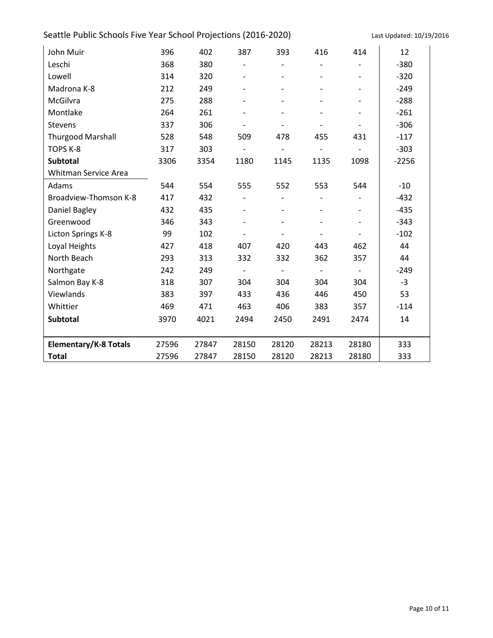## Seattle Public Schools Five Year School Projections (2016-2020) Last Updated: 10/19/2016

| John Muir                    | 396   | 402   | 387                      | 393                      | 416   | 414                      | 12      |
|------------------------------|-------|-------|--------------------------|--------------------------|-------|--------------------------|---------|
| Leschi                       | 368   | 380   |                          |                          |       |                          | $-380$  |
| Lowell                       | 314   | 320   |                          |                          |       |                          | $-320$  |
| Madrona K-8                  | 212   | 249   |                          |                          |       | $\overline{\phantom{0}}$ | $-249$  |
| McGilvra                     | 275   | 288   |                          |                          |       | $\overline{\phantom{0}}$ | $-288$  |
| Montlake                     | 264   | 261   |                          |                          |       |                          | $-261$  |
| Stevens                      | 337   | 306   |                          |                          |       |                          | $-306$  |
| <b>Thurgood Marshall</b>     | 528   | 548   | 509                      | 478                      | 455   | 431                      | $-117$  |
| TOPS K-8                     | 317   | 303   |                          | $\overline{a}$           |       | $\overline{a}$           | $-303$  |
| <b>Subtotal</b>              | 3306  | 3354  | 1180                     | 1145                     | 1135  | 1098                     | $-2256$ |
| Whitman Service Area         |       |       |                          |                          |       |                          |         |
| Adams                        | 544   | 554   | 555                      | 552                      | 553   | 544                      | $-10$   |
| Broadview-Thomson K-8        | 417   | 432   |                          | $\overline{a}$           |       |                          | $-432$  |
| Daniel Bagley                | 432   | 435   | $\overline{\phantom{0}}$ |                          |       |                          | $-435$  |
| Greenwood                    | 346   | 343   | $\qquad \qquad -$        | $\overline{\phantom{a}}$ | -     | $\overline{\phantom{a}}$ | $-343$  |
| Licton Springs K-8           | 99    | 102   |                          |                          |       |                          | $-102$  |
| Loyal Heights                | 427   | 418   | 407                      | 420                      | 443   | 462                      | 44      |
| North Beach                  | 293   | 313   | 332                      | 332                      | 362   | 357                      | 44      |
| Northgate                    | 242   | 249   |                          |                          |       |                          | $-249$  |
| Salmon Bay K-8               | 318   | 307   | 304                      | 304                      | 304   | 304                      | $-3$    |
| Viewlands                    | 383   | 397   | 433                      | 436                      | 446   | 450                      | 53      |
| Whittier                     | 469   | 471   | 463                      | 406                      | 383   | 357                      | $-114$  |
| <b>Subtotal</b>              | 3970  | 4021  | 2494                     | 2450                     | 2491  | 2474                     | 14      |
|                              |       |       |                          |                          |       |                          |         |
| <b>Elementary/K-8 Totals</b> | 27596 | 27847 | 28150                    | 28120                    | 28213 | 28180                    | 333     |
| <b>Total</b>                 | 27596 | 27847 | 28150                    | 28120                    | 28213 | 28180                    | 333     |
|                              |       |       |                          |                          |       |                          |         |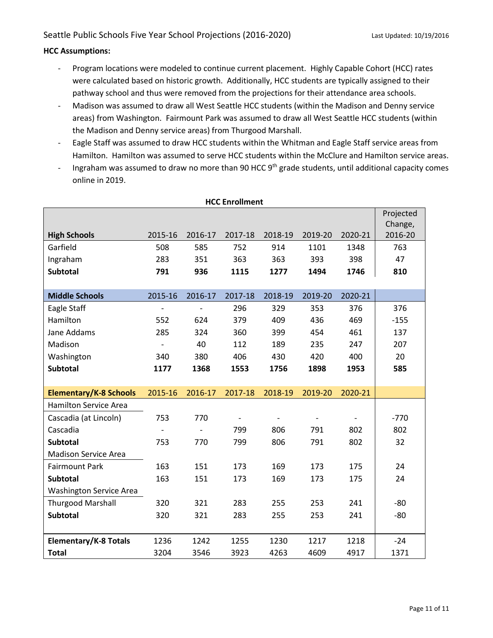### **HCC Assumptions:**

- Program locations were modeled to continue current placement. Highly Capable Cohort (HCC) rates were calculated based on historic growth. Additionally, HCC students are typically assigned to their pathway school and thus were removed from the projections for their attendance area schools.
- Madison was assumed to draw all West Seattle HCC students (within the Madison and Denny service areas) from Washington. Fairmount Park was assumed to draw all West Seattle HCC students (within the Madison and Denny service areas) from Thurgood Marshall.
- Eagle Staff was assumed to draw HCC students within the Whitman and Eagle Staff service areas from Hamilton. Hamilton was assumed to serve HCC students within the McClure and Hamilton service areas.
- Ingraham was assumed to draw no more than 90 HCC 9<sup>th</sup> grade students, until additional capacity comes online in 2019.

|                                | <b>HCC Enrollment</b> |                          |                          |         |         |         |           |  |  |  |
|--------------------------------|-----------------------|--------------------------|--------------------------|---------|---------|---------|-----------|--|--|--|
|                                |                       |                          |                          |         |         |         | Projected |  |  |  |
|                                |                       |                          |                          |         |         |         | Change,   |  |  |  |
| <b>High Schools</b>            | 2015-16               | 2016-17                  | 2017-18                  | 2018-19 | 2019-20 | 2020-21 | 2016-20   |  |  |  |
| Garfield                       | 508                   | 585                      | 752                      | 914     | 1101    | 1348    | 763       |  |  |  |
| Ingraham                       | 283                   | 351                      | 363                      | 363     | 393     | 398     | 47        |  |  |  |
| <b>Subtotal</b>                | 791                   | 936                      | 1115                     | 1277    | 1494    | 1746    | 810       |  |  |  |
|                                |                       |                          |                          |         |         |         |           |  |  |  |
| <b>Middle Schools</b>          | 2015-16               | 2016-17                  | 2017-18                  | 2018-19 | 2019-20 | 2020-21 |           |  |  |  |
| Eagle Staff                    |                       |                          | 296                      | 329     | 353     | 376     | 376       |  |  |  |
| Hamilton                       | 552                   | 624                      | 379                      | 409     | 436     | 469     | $-155$    |  |  |  |
| Jane Addams                    | 285                   | 324                      | 360                      | 399     | 454     | 461     | 137       |  |  |  |
| Madison                        |                       | 40                       | 112                      | 189     | 235     | 247     | 207       |  |  |  |
| Washington                     | 340                   | 380                      | 406                      | 430     | 420     | 400     | 20        |  |  |  |
| <b>Subtotal</b>                | 1177                  | 1368                     | 1553                     | 1756    | 1898    | 1953    | 585       |  |  |  |
|                                |                       |                          |                          |         |         |         |           |  |  |  |
| <b>Elementary/K-8 Schools</b>  | 2015-16               | 2016-17                  | 2017-18                  | 2018-19 | 2019-20 | 2020-21 |           |  |  |  |
| <b>Hamilton Service Area</b>   |                       |                          |                          |         |         |         |           |  |  |  |
| Cascadia (at Lincoln)          | 753                   | 770                      | $\overline{\phantom{0}}$ |         |         |         | $-770$    |  |  |  |
| Cascadia                       |                       | $\overline{\phantom{a}}$ | 799                      | 806     | 791     | 802     | 802       |  |  |  |
| <b>Subtotal</b>                | 753                   | 770                      | 799                      | 806     | 791     | 802     | 32        |  |  |  |
| <b>Madison Service Area</b>    |                       |                          |                          |         |         |         |           |  |  |  |
| Fairmount Park                 | 163                   | 151                      | 173                      | 169     | 173     | 175     | 24        |  |  |  |
| <b>Subtotal</b>                | 163                   | 151                      | 173                      | 169     | 173     | 175     | 24        |  |  |  |
| <b>Washington Service Area</b> |                       |                          |                          |         |         |         |           |  |  |  |
| <b>Thurgood Marshall</b>       | 320                   | 321                      | 283                      | 255     | 253     | 241     | $-80$     |  |  |  |
| <b>Subtotal</b>                | 320                   | 321                      | 283                      | 255     | 253     | 241     | $-80$     |  |  |  |
|                                |                       |                          |                          |         |         |         |           |  |  |  |
| Elementary/K-8 Totals          | 1236                  | 1242                     | 1255                     | 1230    | 1217    | 1218    | $-24$     |  |  |  |
| <b>Total</b>                   | 3204                  | 3546                     | 3923                     | 4263    | 4609    | 4917    | 1371      |  |  |  |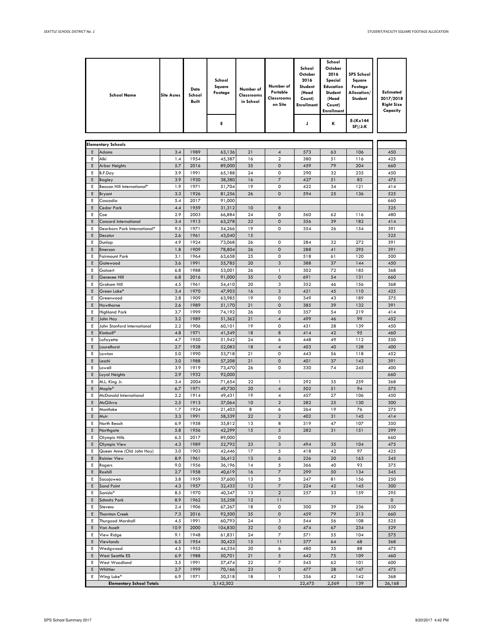|          | <b>School Name</b>                                    | <b>Site Acres</b> | Date<br>School<br>Built | School<br>Square<br>Footage<br>E | Number of<br>Classrooms<br>in School | Number of<br>Portable<br>Classrooms<br>on Site | School<br>October<br>2016<br>Student<br>(Head<br>Count)<br><b>Enrollment</b><br>J | School<br>October<br>2016<br>Special<br>Education<br>Student<br>(Head<br>Count)<br><b>Enrollment</b><br>к | SPS School<br>Square<br>Footage<br>Allocation/<br>Student<br>$E-(Kx)$ 44<br>$SF)/J-K$ | <b>Estimated</b><br>2017/2018<br><b>Right Size</b><br>Capacity |
|----------|-------------------------------------------------------|-------------------|-------------------------|----------------------------------|--------------------------------------|------------------------------------------------|-----------------------------------------------------------------------------------|-----------------------------------------------------------------------------------------------------------|---------------------------------------------------------------------------------------|----------------------------------------------------------------|
|          |                                                       |                   |                         |                                  |                                      |                                                |                                                                                   |                                                                                                           |                                                                                       |                                                                |
|          | <b>Elementary Schools</b>                             |                   |                         |                                  |                                      |                                                |                                                                                   |                                                                                                           |                                                                                       |                                                                |
| E        | Adams                                                 | 3.4               | 1989                    | 63,136                           | 21                                   | 4                                              | 573                                                                               | 63                                                                                                        | 106                                                                                   | 450                                                            |
| Ε        | Alki                                                  | 1.4               | 1954                    | 45,387                           | 16                                   | $\overline{2}$                                 | 380                                                                               | 51                                                                                                        | 116                                                                                   | 425                                                            |
| E<br>Е   | Arbor Heights<br>B.F.Day                              | 5.7<br>3.9        | 2016<br>1991            | 89,000<br>65,188                 | 35<br>24                             | $\mathbf 0$<br>0                               | 459<br>290                                                                        | 79<br>32                                                                                                  | 204<br>235                                                                            | 660<br>450                                                     |
| E.       | Bagley                                                | 3.9               | 1930                    | 38,380                           | 16                                   | 7                                              | 427                                                                               | 51                                                                                                        | 83                                                                                    | 475                                                            |
| Е        | Beacon Hill International*                            | 1.9               | 1971                    | 51,704                           | 19                                   | 0                                              | 422                                                                               | 34                                                                                                        | 121                                                                                   | 414                                                            |
| E        | Bryant                                                | 3.3               | 1926                    | 81,256                           | 26                                   | $\mathbf 0$                                    | 594                                                                               | 25                                                                                                        | 136                                                                                   | 525                                                            |
| E        | Cascadia                                              | 5.4               | 2017                    | 91,000                           |                                      |                                                |                                                                                   |                                                                                                           |                                                                                       | 660                                                            |
| E        | Cedar Park                                            | 4.4               | 1959                    | 31,312                           | 10                                   | 8                                              |                                                                                   |                                                                                                           |                                                                                       | 325                                                            |
| Ε        | Coe                                                   | 2.9               | 2003                    | 66,884                           | 24                                   | 0                                              | 560                                                                               | 62                                                                                                        | 116                                                                                   | 480                                                            |
| E<br>E   | Concord International<br>Dearborn Park International* | 3.4<br>9.5        | 1913<br>1971            | 63,278                           | 22<br>19                             | $\mathbf 0$<br>0                               | 356<br>354                                                                        | 39<br>26                                                                                                  | 182<br>154                                                                            | 414<br>391                                                     |
| E.       | Decatur                                               | 2.6               | 1961                    | 54,266<br>43,040                 | 15                                   |                                                |                                                                                   |                                                                                                           |                                                                                       | 325                                                            |
| Е        | Dunlap                                                | 4.9               | 1924                    | 73,068                           | 26                                   | 0                                              | 284                                                                               | 32                                                                                                        | 272                                                                                   | 391                                                            |
| E        | Emerson                                               | 1.8               | 1909                    | 78,804                           | 26                                   | $\mathbf 0$                                    | 288                                                                               | 41                                                                                                        | 295                                                                                   | 391                                                            |
| Ε        | <b>Fairmount Park</b>                                 | 3.1               | 1964                    | 63,658                           | 25                                   | 0                                              | 518                                                                               | 61                                                                                                        | 120                                                                                   | 500                                                            |
| E        | Gatewood                                              | 3.6               | 1991                    | 55,785                           | 20                                   | 3                                              | 388                                                                               | 37                                                                                                        | 144                                                                                   | 450                                                            |
| Ε        | Gatzert                                               | 6.8               | 1988                    | 53,001                           | 26                                   | 1                                              | 302                                                                               | 72                                                                                                        | 185                                                                                   | 368                                                            |
| E        | Genesee Hill                                          | 6.8               | 2016                    | 91,000                           | 35                                   | $\mathbf 0$                                    | 691                                                                               | 54                                                                                                        | 131                                                                                   | 660                                                            |
| Ε<br>E   | Graham Hill<br>Green Lake*                            | 4.5<br>3.4        | 1961<br>1970            | 54,410<br>47,903                 | 20<br>16                             | 3<br>3                                         | 352<br>421                                                                        | 46<br>45                                                                                                  | 156<br>110                                                                            | 368<br>425                                                     |
| Е        | Greenwood                                             | 2.8               | 1909                    | 63,985                           | 19                                   | 0                                              | 349                                                                               | 43                                                                                                        | 189                                                                                   | 375                                                            |
| E        | Hawthorne                                             | 2.6               | 1989                    | 51,170                           | 21                                   | $\mathbf 0$                                    | 385                                                                               | 39                                                                                                        | 132                                                                                   | 391                                                            |
| E        | <b>Highland Park</b>                                  | 3.7               | 1999                    | 74,192                           | 26                                   | 0                                              | 357                                                                               | 54                                                                                                        | 219                                                                                   | 414                                                            |
| E        | John Hay                                              | 3.2               | 1989                    | 51,362                           | 21                                   | 4                                              | 499                                                                               | 46                                                                                                        | 99                                                                                    | 452                                                            |
| Ε        | John Stanford International                           | 2.2               | 1906                    | 60,101                           | 19                                   | 0                                              | 431                                                                               | 28                                                                                                        | 139                                                                                   | 450                                                            |
| Ε        | Kimball*                                              | 4.8               | 1971                    | 41,549                           | 18                                   | 8                                              | 414                                                                               | 42                                                                                                        | 95                                                                                    | 460                                                            |
| E        | Lafayette                                             | 4.7               | 1950                    | 51,942                           | 24                                   | 6                                              | 448                                                                               | 49                                                                                                        | 112                                                                                   | 550                                                            |
| Е        | Laurelhurst                                           | 2.7<br>5.0        | 1928                    | 52,083                           | 18                                   | 4<br>0                                         | 403                                                                               | 40                                                                                                        | 128                                                                                   | 400                                                            |
| Е<br>E   | Lawton<br>Leschi                                      | 3.0               | 1990<br>1988            | 53,718<br>57,208                 | 21<br>21                             | $\mathbf 0$                                    | 443<br>401                                                                        | 56<br>37                                                                                                  | 118<br>143                                                                            | 452<br>391                                                     |
| Е        | Lowell                                                | 3.9               | 1919                    | 73,470                           | 26                                   | 0                                              | 330                                                                               | 74                                                                                                        | 245                                                                                   | 400                                                            |
| E        | Loyal Heights                                         | 2.9               | 1932                    | 92,000                           |                                      |                                                |                                                                                   |                                                                                                           |                                                                                       | 660                                                            |
| E        | M.L. King Jr.                                         | 3.4               | 2004                    | 71,654                           | 22                                   | 1                                              | 292                                                                               | 35                                                                                                        | 259                                                                                   | 368                                                            |
| E        | Maple*                                                | 6.7               | 1971                    | 49,730                           | 20                                   | 4                                              | 502                                                                               | 51                                                                                                        | 94                                                                                    | 575                                                            |
| Ε        | McDonald International                                | 2.2               | 1914                    | 49,431                           | 19                                   | 4                                              | 457                                                                               | 27                                                                                                        | 106                                                                                   | 450                                                            |
| E        | McGilvra                                              | 2.5               | 1913                    | 37,064                           | 10                                   | $\overline{2}$                                 | 282                                                                               | 25                                                                                                        | 130                                                                                   | 300                                                            |
| E        | Montlake                                              | 1.7               | 1924                    | 21,403                           | 8                                    | 6                                              | 264                                                                               | 19                                                                                                        | 76                                                                                    | 275                                                            |
| Е.<br>E. | Muir<br>North Beach                                   | 3.3<br>6.9        | 1991<br>1958            | 58,339<br>35,812                 | 22<br>13                             | 8                                              | 402<br>319                                                                        | 31<br>47                                                                                                  | 145<br>107                                                                            | 414<br>350                                                     |
| E.       | Northgate                                             | 5.8               | 1956                    | 42,299                           | 15                                   | 5                                              | 282                                                                               | 31                                                                                                        | 151                                                                                   | 299                                                            |
| Е        | Olympic Hills                                         | 6.5               | 2017                    | 89,000                           |                                      | 0                                              |                                                                                   |                                                                                                           |                                                                                       | 660                                                            |
| E        | Olympic View                                          | 4.3               | 1989                    | 52,792                           | 23                                   | 3                                              | 494                                                                               | 35                                                                                                        | 104                                                                                   | 475                                                            |
| Е        | Queen Anne (Old John Hay)                             | 3.0               | 1903                    | 42,446                           | 17                                   | 5                                              | 418                                                                               | 42                                                                                                        | 97                                                                                    | 425                                                            |
| E.       | <b>Rainier View</b>                                   | 8.9               | 1961                    | 36,412                           | 13                                   | 6                                              | 226                                                                               | 20                                                                                                        | 163                                                                                   | 345                                                            |
| Е        | Rogers                                                | 9.0               | 1956                    | 36,196                           | 14                                   | 5                                              | 366                                                                               | 40                                                                                                        | 93                                                                                    | 375                                                            |
| E.<br>E. | Roxhill<br>Sacajawea                                  | 2.7<br>3.8        | 1958<br>1959            | 40,619<br>37,600                 | 16<br>13                             | $\overline{\phantom{a}}$<br>5                  | 299<br>247                                                                        | 50<br>81                                                                                                  | 134<br>156                                                                            | 345<br>250                                                     |
| E        | <b>Sand Point</b>                                     | 4.3               | 1957                    | 32,433                           | 12                                   | 7                                              | 224                                                                               | 42                                                                                                        | 145                                                                                   | 300                                                            |
| E        | Sanislo*                                              | 8.5               | 1970                    | 40,347                           | 13                                   | $\overline{\mathbf{c}}$                        | 257                                                                               | 33                                                                                                        | 159                                                                                   | 295                                                            |
| E        | Schmitz Park                                          | 8.9               | 1962                    | 35,258                           | 12                                   | 11                                             |                                                                                   |                                                                                                           |                                                                                       | $\circ$                                                        |
| Е        | Stevens                                               | 2.4               | 1906                    | 67,267                           | 18                                   | 0                                              | 300                                                                               | 39                                                                                                        | 236                                                                                   | 350                                                            |
| E        | <b>Thornton Creek</b>                                 | 7.3               | 2016                    | 92,500                           | 35                                   | 0                                              | 459                                                                               | 79                                                                                                        | 213                                                                                   | 660                                                            |
| E.       | Thurgood Marshall                                     | 4.5               | 1991                    | 60,793                           | 24                                   | 3                                              | 544                                                                               | 56                                                                                                        | 108                                                                                   | 525                                                            |
| E.       | Van Asselt                                            | 10.9              | 2000                    | 104,830                          | 32                                   | 0                                              | 474                                                                               | 67                                                                                                        | 234                                                                                   | 529                                                            |
| E.       | View Ridge                                            | 9.1               | 1948                    | 61,831                           | 24                                   | 7                                              | 571                                                                               | 55                                                                                                        | 104                                                                                   | 575                                                            |
| E        | Viewlands                                             | 6.5               | 1954                    | 30,423                           | 15                                   | $\overline{11}$                                | 377                                                                               | 64                                                                                                        | 68                                                                                    | 368                                                            |
| E.<br>E  | Wedgwood<br><b>West Seattle ES</b>                    | 4.5<br>6.9        | 1955<br>1988            | 44,334<br>50,701                 | 20<br>21                             | 6<br>5                                         | 480<br>442                                                                        | 35<br>75                                                                                                  | 88<br>109                                                                             | 475<br>460                                                     |
| Е        | West Woodland                                         | 3.5               | 1991                    | 57,474                           | 22                                   | 7                                              | 545                                                                               | 62                                                                                                        | 101                                                                                   | 600                                                            |
| E        | Whittier                                              | 2.7               | 1999                    | 70,166                           | 23                                   | 0                                              | 477                                                                               | 28                                                                                                        | 147                                                                                   | 475                                                            |
| E.       | Wing Luke*                                            | 6.9               | 1971                    | 50,518                           | 18                                   | 1                                              | 356                                                                               | 42                                                                                                        | 142                                                                                   | 368                                                            |
|          | <b>Elementary School Totals</b>                       |                   |                         | 3,142,302                        |                                      |                                                | 22,475                                                                            | 2,569                                                                                                     | 139                                                                                   | 26,168                                                         |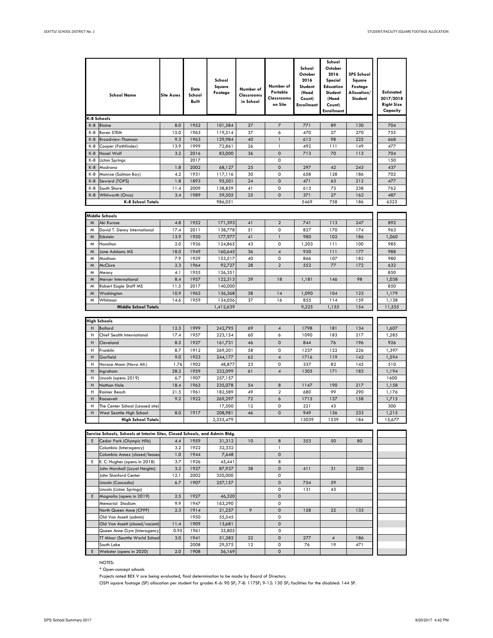|              | <b>School Name</b><br>K-8 Schools                                          | <b>Site Acres</b> | Date<br>School<br>Built | School<br>Square<br>Footage | Number of<br>Classrooms<br>in School | Number of<br>Portable<br>Classrooms<br>on Site | School<br>October<br>2016<br>Student<br>(Head<br>Count)<br><b>Enrollment</b> | School<br>October<br>2016<br>Special<br>Education<br>Student<br>(Head<br>Count)<br><b>Enrollment</b> | SPS School<br>Square<br>Footage<br>Allocation/<br>Student | <b>Estimated</b><br>2017/2018<br><b>Right Size</b><br>Capacity |
|--------------|----------------------------------------------------------------------------|-------------------|-------------------------|-----------------------------|--------------------------------------|------------------------------------------------|------------------------------------------------------------------------------|------------------------------------------------------------------------------------------------------|-----------------------------------------------------------|----------------------------------------------------------------|
| $K-8$        |                                                                            | 8.0               | 1952                    |                             | 27                                   |                                                | 771                                                                          | 89                                                                                                   | 130                                                       | 704                                                            |
|              | Blaine                                                                     |                   | 1963                    | 101,584                     |                                      | 7                                              |                                                                              |                                                                                                      |                                                           |                                                                |
| K-8          | <b>Boren STEM</b>                                                          | 15.0              |                         | 119,514                     | 37<br>40                             | 6<br>$\mathbf{1}$                              | 470                                                                          | 57<br>98                                                                                             | 270<br>225                                                | 755                                                            |
| $K-8$        | <b>Broadview-Thomson</b>                                                   | 9.3               | 1963                    | 129,984                     |                                      |                                                | 613                                                                          |                                                                                                      |                                                           | 668                                                            |
| $K-8$        | Cooper (Pathfinder)<br>Hazel Wolf                                          | 13.9              | 1999                    | 72,861                      | 26                                   | 1<br>$\pmb{0}$                                 | 492                                                                          | 111<br>70                                                                                            | 149<br>113                                                | 477<br>704                                                     |
| $K-8$        |                                                                            | 3.2               | 2016<br>2017            | 83,000                      | 36                                   | 0                                              | 713                                                                          |                                                                                                      |                                                           |                                                                |
| K-8<br>$K-8$ | Licton Springs<br>Madrona                                                  | 1.8               | 2002                    | 68,127                      | 25                                   | $\pmb{0}$                                      | 297                                                                          | 42                                                                                                   | 243                                                       | 150<br>437                                                     |
| K-8          | Monroe (Salmon Bay)                                                        | 4.2               | 1931                    | 117,116                     | 30                                   | 0                                              | 658                                                                          | 128                                                                                                  | 186                                                       | 702                                                            |
| $K-8$        | Seward (TOPS)                                                              | 1.8               | 1893                    | 95,501                      | 24                                   | $\mathbf 0$                                    | 471                                                                          | 63                                                                                                   | 212                                                       | 477                                                            |
| $K-8$        | South Shore                                                                | 11.4              | 2009                    | 138,859                     | 41                                   | 0                                              | 613                                                                          | 73                                                                                                   | 238                                                       | 762                                                            |
| $K-8$        | Whitworth (Orca)                                                           | 3.4               | 1989                    | 59,505                      | 25                                   | $\mathbf 0$                                    | 371                                                                          | 27                                                                                                   | 162                                                       | 487                                                            |
|              | K-8 School Totals                                                          |                   |                         | 986,051                     |                                      |                                                | 5469                                                                         | 758                                                                                                  | 186                                                       | 6323                                                           |
|              |                                                                            |                   |                         |                             |                                      |                                                |                                                                              |                                                                                                      |                                                           |                                                                |
|              | Middle Schools                                                             |                   |                         |                             |                                      |                                                |                                                                              |                                                                                                      |                                                           |                                                                |
| M            | Aki Kurose                                                                 | 4.8               | 1952                    | 171,393                     | 41                                   | $\overline{2}$                                 | 741                                                                          | 113                                                                                                  | 247                                                       | 892                                                            |
| M            | David T. Denny International                                               | 17.4              | 2011                    | 138,778                     | 51                                   | 0                                              | 827                                                                          | 170                                                                                                  | 174                                                       | 963                                                            |
| M            | Eckstein                                                                   | 13.9              | 1950                    | 177,977                     | 41                                   | 1                                              | 980                                                                          | 102                                                                                                  | 186                                                       | 1,060                                                          |
| M            | Hamilton                                                                   | 2.0               | 1926                    | 124,865                     | 43                                   | 0                                              | 1,203                                                                        | 111                                                                                                  | 100                                                       | 985                                                            |
| M            | Jane Addams MS                                                             | 18.0              | 1949                    | 160,645                     | 36                                   | $\overline{4}$                                 | 930                                                                          | 111                                                                                                  | 177                                                       | 988                                                            |
| M            | Madison                                                                    | 7.9               | 1929                    | 153,517                     | 40                                   | 0                                              | 866                                                                          | 107                                                                                                  | 182                                                       | 980                                                            |
| M            | McClure                                                                    | 2.3               | 1964                    | 92,727                      | 28                                   | $\overline{2}$                                 | 552                                                                          | 77                                                                                                   | 172                                                       | 632                                                            |
| M            | Meany                                                                      | 4.1               | 1955                    | 126,351                     |                                      |                                                |                                                                              |                                                                                                      |                                                           | 850                                                            |
| M            | Mercer International                                                       | 8.4               | 1957                    | 122,313                     | 39                                   | 18                                             | 1,181                                                                        | 146                                                                                                  | 98                                                        | 1,038                                                          |
| M            | Robert Eagle Staff MS                                                      | 11.5              | 2017                    | 140,000                     |                                      |                                                |                                                                              |                                                                                                      |                                                           | 850                                                            |
| $\mathsf{M}$ | Washington                                                                 | 10.9              | 1963                    | 136,368                     | 38                                   | 14                                             | 1,090                                                                        | 104                                                                                                  | 123                                                       | 1,179                                                          |
| M            | Whitman                                                                    | 14.6              | 1959                    | 134,056                     | 37                                   | 16                                             | 855                                                                          | 114                                                                                                  | 159                                                       | 1,138                                                          |
|              | <b>Middle School Totals</b>                                                |                   |                         | 1,412,639                   |                                      |                                                | 9,225                                                                        | 1,155                                                                                                | 154                                                       | 11,555                                                         |
|              |                                                                            |                   |                         |                             |                                      |                                                |                                                                              |                                                                                                      |                                                           |                                                                |
|              | High Schools                                                               |                   |                         |                             |                                      |                                                |                                                                              |                                                                                                      |                                                           |                                                                |
| н            | <b>Ballard</b>                                                             | 12.3              | 1999                    | 242,795                     | 69                                   | $\overline{4}$                                 | 1798                                                                         | 181                                                                                                  | 134                                                       | 1,607                                                          |
| н            | Chief Sealth International                                                 | 17.4              | 1957                    | 223,154                     | 60                                   | 6                                              | 1090                                                                         | 183                                                                                                  | 217                                                       | 1,285                                                          |
| н            | Cleveland                                                                  | 8.5               | 1927                    | 161,731                     | 46                                   | $\pmb{0}$                                      | 844                                                                          | 76                                                                                                   | 196                                                       | 926                                                            |
| н            | Franklin                                                                   | 8.7               | 1912                    | 269,201                     | 58                                   | 0                                              | 1237                                                                         | 122                                                                                                  | 226                                                       | 1,397                                                          |
| н            | Garfield                                                                   | 9.0               | 1923                    | 244,177                     | 62                                   | $\pmb{4}$                                      | 1716                                                                         | 119                                                                                                  | 142                                                       | 1,594                                                          |
| н            | Horace Mann (Nova Alt.)                                                    | 1.76              | 1902                    | 48,877                      | 23                                   | $\mathbf 0$                                    | 337                                                                          | 82                                                                                                   | 145                                                       | 510                                                            |
| н            | Ingraham                                                                   | 28.2              | 1959                    | 232,099                     | 61                                   | $\pmb{4}$                                      | 1305                                                                         | 171                                                                                                  | 183                                                       | 1,194                                                          |
| н            | Lincoln (opens 2019)                                                       | 6.7               | 1907                    | 257,157                     |                                      |                                                |                                                                              |                                                                                                      |                                                           | 1600                                                           |
| н            | Nathan Hale                                                                | 18.4              | 1963                    | 235,078                     | 54                                   | 8                                              | 1147                                                                         | 190                                                                                                  | 217                                                       | 1,158                                                          |
| н            | Rainier Beach                                                              | 21.5              | 1961                    | 182,589                     | 49                                   | $\overline{2}$                                 | 680                                                                          | 99                                                                                                   | 290                                                       | 1,176                                                          |
| н            | Roosevelt                                                                  | 9.2               | 1922                    | 269,297                     | 72                                   | 6                                              | 1715                                                                         | 137                                                                                                  | 158                                                       | 1,715                                                          |
| н            | The Center School (Leased site)                                            |                   |                         | 17,500                      | 12                                   | 0                                              | 221                                                                          | 43                                                                                                   |                                                           | 300                                                            |
|              | West Seattle High School                                                   | 8.0               | 1917                    | 208,981<br>2,335,479        | 46                                   | $\mathbf 0$                                    | 949                                                                          | 136                                                                                                  | 233<br>184                                                | 1,215                                                          |
|              | <b>High School Totals</b>                                                  |                   |                         |                             |                                      |                                                | 13039                                                                        | 1539                                                                                                 |                                                           | 15,677                                                         |
|              | Service Schools, Schools at Interim Sites, Closed Schools, and Admin Bldg. |                   |                         |                             |                                      |                                                |                                                                              |                                                                                                      |                                                           |                                                                |
| Е            | Cedar Park (Olympic Hills)                                                 | 4.4               | 1959                    | 31,312                      | 10                                   | 8                                              | 353                                                                          | 50                                                                                                   | 80                                                        |                                                                |
|              | Columbia (Interagency)                                                     | 3.2               | 1922                    | 32,332                      |                                      | 1                                              |                                                                              |                                                                                                      |                                                           |                                                                |
|              | Columbia Annex (closed/leased                                              | 1.0               | 1944                    | 7,648                       |                                      | 0                                              |                                                                              |                                                                                                      |                                                           |                                                                |
| Е            | E. C. Hughes (opens in 2018)                                               | 3.7               | 1926                    | 45,441                      |                                      | 8                                              |                                                                              |                                                                                                      |                                                           |                                                                |
|              | John Marshall (Loyal Heights)                                              | 3.2               | 1927                    | 87,927                      | 38                                   | 0                                              | 411                                                                          | 31                                                                                                   | 220                                                       |                                                                |
|              | John Stanford Center                                                       | 12.1              | 2002                    | 350,000                     |                                      | 0                                              |                                                                              |                                                                                                      |                                                           |                                                                |
|              | Lincoln (Cascadia)                                                         | 6.7               | 1907                    | 257,157                     |                                      | 0                                              | 754                                                                          | 59                                                                                                   |                                                           |                                                                |
|              | Lincoln (Licton Springs)                                                   |                   |                         |                             |                                      | 0                                              | 131                                                                          | 43                                                                                                   |                                                           |                                                                |
| E            | Magnolia (opens in 2019)                                                   | 2.5               | 1927                    | 46,320                      |                                      | 0                                              |                                                                              |                                                                                                      |                                                           |                                                                |
|              | Memorial Stadium                                                           | 9.9               | 1947                    | 163,290                     |                                      | 0                                              |                                                                              |                                                                                                      |                                                           |                                                                |
|              | North Queen Anne (CPPP)                                                    | 2.3               | 1914                    | 21,257                      | 9                                    | 0                                              | 158                                                                          | 22                                                                                                   | 133                                                       |                                                                |
|              | Old Van Asselt (admin)                                                     |                   | 1950                    | 55,545                      |                                      | 0                                              |                                                                              |                                                                                                      |                                                           |                                                                |
|              | Old Van Asselt (closed/vacant)                                             | 11.4              | 1909                    | 13,681                      |                                      | $\mathsf{O}\xspace$                            |                                                                              |                                                                                                      |                                                           |                                                                |
|              | Queen Anne Gym (Interagency                                                | 0.95              | 1961                    | 35,805                      |                                      | 0                                              |                                                                              |                                                                                                      |                                                           |                                                                |
|              | TT Minor (Seattle World School                                             | 3.0               | 1941                    | 51,382                      | 22                                   | $\mathsf{O}\xspace$                            | 277                                                                          | 4                                                                                                    | 186                                                       |                                                                |
|              | South Lake                                                                 |                   | 2008                    | 29,575                      | 12                                   | 0                                              | 76                                                                           | 19                                                                                                   | 471                                                       |                                                                |
| Ε            | Webster (opens in 2020)                                                    | 2.0               | 1908                    | 56,169                      |                                      | 0                                              |                                                                              |                                                                                                      |                                                           |                                                                |

NOTES:

\* Open-concept schools

Projects noted BEX V are being evaluated, final determination to be made by Board of Directors.

OSPI square footage (SF) allocation per student for grades K-6: 90 SF; 7-8: 117SF; 9-12: 130 SF; facilities for the disabled: 144 SF.